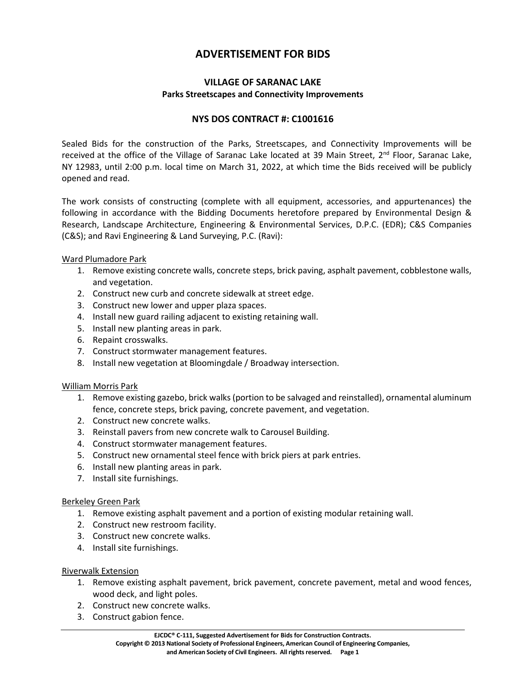# **ADVERTISEMENT FOR BIDS**

# **VILLAGE OF SARANAC LAKE Parks Streetscapes and Connectivity Improvements**

# **NYS DOS CONTRACT #: C1001616**

Sealed Bids for the construction of the Parks, Streetscapes, and Connectivity Improvements will be received at the office of the Village of Saranac Lake located at 39 Main Street, 2<sup>nd</sup> Floor, Saranac Lake, NY 12983, until 2:00 p.m. local time on March 31, 2022, at which time the Bids received will be publicly opened and read.

The work consists of constructing (complete with all equipment, accessories, and appurtenances) the following in accordance with the Bidding Documents heretofore prepared by Environmental Design & Research, Landscape Architecture, Engineering & Environmental Services, D.P.C. (EDR); C&S Companies (C&S); and Ravi Engineering & Land Surveying, P.C. (Ravi):

Ward Plumadore Park

- 1. Remove existing concrete walls, concrete steps, brick paving, asphalt pavement, cobblestone walls, and vegetation.
- 2. Construct new curb and concrete sidewalk at street edge.
- 3. Construct new lower and upper plaza spaces.
- 4. Install new guard railing adjacent to existing retaining wall.
- 5. Install new planting areas in park.
- 6. Repaint crosswalks.
- 7. Construct stormwater management features.
- 8. Install new vegetation at Bloomingdale / Broadway intersection.

#### William Morris Park

- 1. Remove existing gazebo, brick walks (portion to be salvaged and reinstalled), ornamental aluminum fence, concrete steps, brick paving, concrete pavement, and vegetation.
- 2. Construct new concrete walks.
- 3. Reinstall pavers from new concrete walk to Carousel Building.
- 4. Construct stormwater management features.
- 5. Construct new ornamental steel fence with brick piers at park entries.
- 6. Install new planting areas in park.
- 7. Install site furnishings.

#### Berkeley Green Park

- 1. Remove existing asphalt pavement and a portion of existing modular retaining wall.
- 2. Construct new restroom facility.
- 3. Construct new concrete walks.
- 4. Install site furnishings.

#### Riverwalk Extension

- 1. Remove existing asphalt pavement, brick pavement, concrete pavement, metal and wood fences, wood deck, and light poles.
- 2. Construct new concrete walks.
- 3. Construct gabion fence.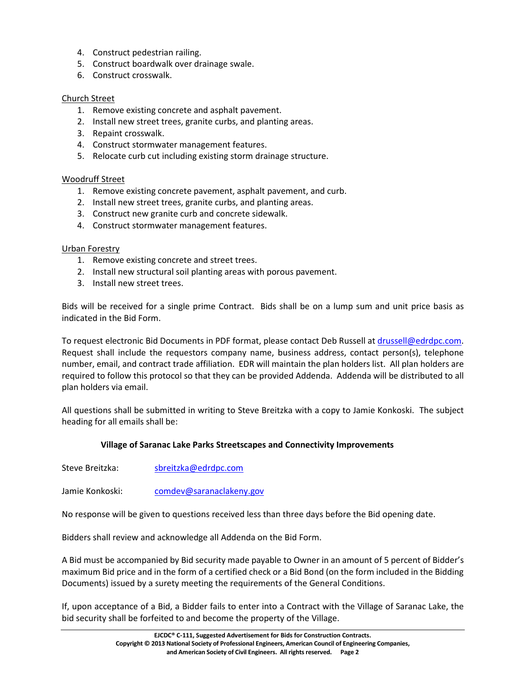- 4. Construct pedestrian railing.
- 5. Construct boardwalk over drainage swale.
- 6. Construct crosswalk.

#### Church Street

- 1. Remove existing concrete and asphalt pavement.
- 2. Install new street trees, granite curbs, and planting areas.
- 3. Repaint crosswalk.
- 4. Construct stormwater management features.
- 5. Relocate curb cut including existing storm drainage structure.

## Woodruff Street

- 1. Remove existing concrete pavement, asphalt pavement, and curb.
- 2. Install new street trees, granite curbs, and planting areas.
- 3. Construct new granite curb and concrete sidewalk.
- 4. Construct stormwater management features.

#### Urban Forestry

- 1. Remove existing concrete and street trees.
- 2. Install new structural soil planting areas with porous pavement.
- 3. Install new street trees.

Bids will be received for a single prime Contract. Bids shall be on a lump sum and unit price basis as indicated in the Bid Form.

To request electronic Bid Documents in PDF format, please contact Deb Russell at drussell@edrdpc.com. Request shall include the requestors company name, business address, contact person(s), telephone number, email, and contract trade affiliation. EDR will maintain the plan holders list. All plan holders are required to follow this protocol so that they can be provided Addenda. Addenda will be distributed to all plan holders via email.

All questions shall be submitted in writing to Steve Breitzka with a copy to Jamie Konkoski. The subject heading for all emails shall be:

#### **Village of Saranac Lake Parks Streetscapes and Connectivity Improvements**

Steve Breitzka: sbreitzka@edrdpc.com

Jamie Konkoski: comdev@saranaclakeny.gov

No response will be given to questions received less than three days before the Bid opening date.

Bidders shall review and acknowledge all Addenda on the Bid Form.

A Bid must be accompanied by Bid security made payable to Owner in an amount of 5 percent of Bidder's maximum Bid price and in the form of a certified check or a Bid Bond (on the form included in the Bidding Documents) issued by a surety meeting the requirements of the General Conditions.

If, upon acceptance of a Bid, a Bidder fails to enter into a Contract with the Village of Saranac Lake, the bid security shall be forfeited to and become the property of the Village.